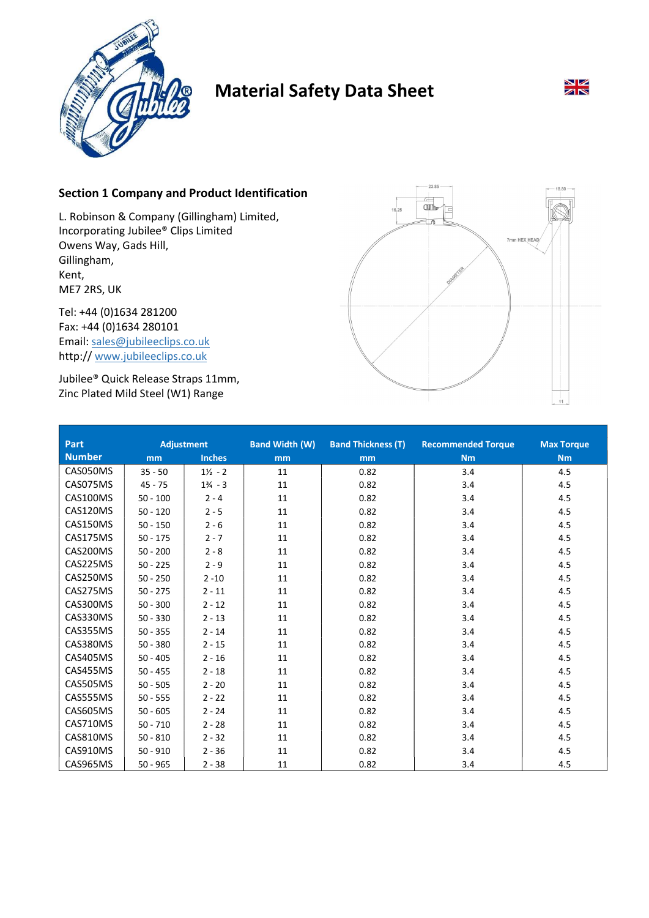

# Material Safety Data Sheet



## Section 1 Company and Product Identification

L. Robinson & Company (Gillingham) Limited, Incorporating Jubilee® Clips Limited Owens Way, Gads Hill, Gillingham, Kent, ME7 2RS, UK

Tel: +44 (0)1634 281200 Fax: +44 (0)1634 280101 Email: sales@jubileeclips.co.uk http:// www.jubileeclips.co.uk

Jubilee® Quick Release Straps 11mm, Zinc Plated Mild Steel (W1) Range



| Part          | <b>Adjustment</b> |                    | <b>Band Width (W)</b> | <b>Band Thickness (T)</b> | <b>Recommended Torque</b> | <b>Max Torque</b> |
|---------------|-------------------|--------------------|-----------------------|---------------------------|---------------------------|-------------------|
| <b>Number</b> | mm                | <b>Inches</b>      | m <sub>m</sub>        | mm                        | <b>Nm</b>                 | Nm                |
| CAS050MS      | $35 - 50$         | $1\frac{1}{2} - 2$ | 11                    | 0.82                      | 3.4                       | 4.5               |
| CAS075MS      | $45 - 75$         | $1\frac{3}{4} - 3$ | 11                    | 0.82                      | 3.4                       | 4.5               |
| CAS100MS      | $50 - 100$        | $2 - 4$            | 11                    | 0.82                      | 3.4                       | 4.5               |
| CAS120MS      | $50 - 120$        | $2 - 5$            | 11                    | 0.82                      | 3.4                       | 4.5               |
| CAS150MS      | $50 - 150$        | $2 - 6$            | 11                    | 0.82                      | 3.4                       | 4.5               |
| CAS175MS      | $50 - 175$        | $2 - 7$            | 11                    | 0.82                      | 3.4                       | 4.5               |
| CAS200MS      | $50 - 200$        | $2 - 8$            | 11                    | 0.82                      | 3.4                       | 4.5               |
| CAS225MS      | $50 - 225$        | $2 - 9$            | 11                    | 0.82                      | 3.4                       | 4.5               |
| CAS250MS      | $50 - 250$        | $2 - 10$           | 11                    | 0.82                      | 3.4                       | 4.5               |
| CAS275MS      | $50 - 275$        | $2 - 11$           | 11                    | 0.82                      | 3.4                       | 4.5               |
| CAS300MS      | $50 - 300$        | $2 - 12$           | 11                    | 0.82                      | 3.4                       | 4.5               |
| CAS330MS      | $50 - 330$        | $2 - 13$           | 11                    | 0.82                      | 3.4                       | 4.5               |
| CAS355MS      | $50 - 355$        | $2 - 14$           | 11                    | 0.82                      | 3.4                       | 4.5               |
| CAS380MS      | $50 - 380$        | $2 - 15$           | 11                    | 0.82                      | 3.4                       | 4.5               |
| CAS405MS      | $50 - 405$        | $2 - 16$           | 11                    | 0.82                      | 3.4                       | 4.5               |
| CAS455MS      | $50 - 455$        | $2 - 18$           | 11                    | 0.82                      | 3.4                       | 4.5               |
| CAS505MS      | $50 - 505$        | $2 - 20$           | 11                    | 0.82                      | 3.4                       | 4.5               |
| CAS555MS      | $50 - 555$        | $2 - 22$           | 11                    | 0.82                      | 3.4                       | 4.5               |
| CAS605MS      | $50 - 605$        | $2 - 24$           | 11                    | 0.82                      | 3.4                       | 4.5               |
| CAS710MS      | $50 - 710$        | $2 - 28$           | 11                    | 0.82                      | 3.4                       | 4.5               |
| CAS810MS      | $50 - 810$        | $2 - 32$           | 11                    | 0.82                      | 3.4                       | 4.5               |
| CAS910MS      | $50 - 910$        | $2 - 36$           | 11                    | 0.82                      | 3.4                       | 4.5               |
| CAS965MS      | $50 - 965$        | $2 - 38$           | 11                    | 0.82                      | 3.4                       | 4.5               |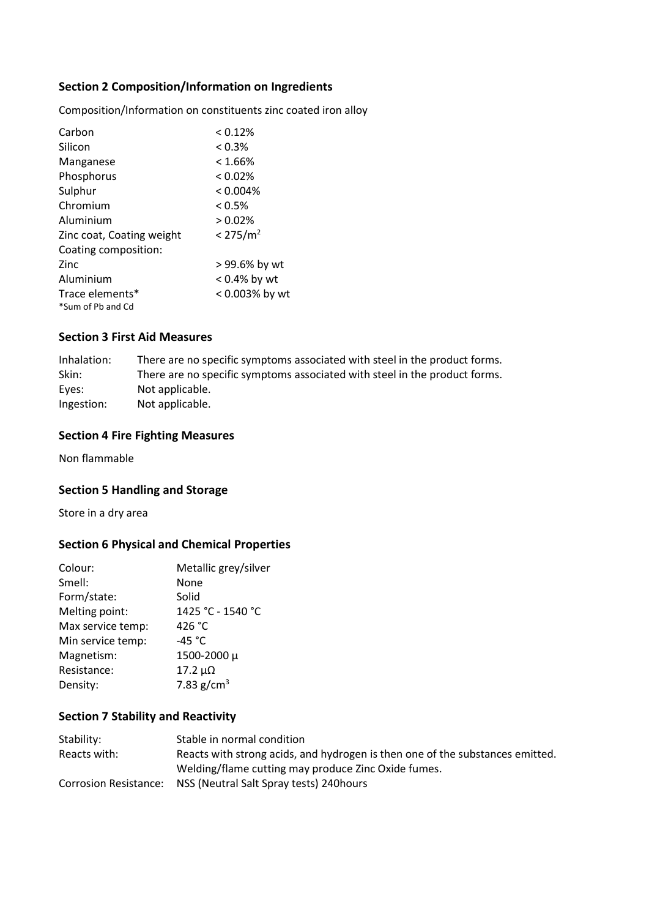# Section 2 Composition/Information on Ingredients

Composition/Information on constituents zinc coated iron alloy

| Carbon                    | < 0.12%              |
|---------------------------|----------------------|
| Silicon                   | $< 0.3\%$            |
| Manganese                 | $< 1.66\%$           |
| Phosphorus                | $< 0.02\%$           |
| Sulphur                   | < 0.004%             |
| Chromium                  | $< 0.5\%$            |
| Aluminium                 | $> 0.02\%$           |
| Zinc coat, Coating weight | < 275/m <sup>2</sup> |
| Coating composition:      |                      |
| Zinc                      | > 99.6% by wt        |
| Aluminium                 | $< 0.4\%$ by wt      |
| Trace elements*           | < 0.003% by wt       |
| *Sum of Pb and Cd         |                      |

## Section 3 First Aid Measures

| Inhalation: | There are no specific symptoms associated with steel in the product forms. |
|-------------|----------------------------------------------------------------------------|
| Skin:       | There are no specific symptoms associated with steel in the product forms. |
| Eyes:       | Not applicable.                                                            |
| Ingestion:  | Not applicable.                                                            |

## Section 4 Fire Fighting Measures

Non flammable

# Section 5 Handling and Storage

Store in a dry area

# Section 6 Physical and Chemical Properties

| Colour:           | Metallic grey/silver |
|-------------------|----------------------|
| Smell:            | None                 |
| Form/state:       | Solid                |
| Melting point:    | 1425 °C - 1540 °C    |
| Max service temp: | 426 $^{\circ}$ C     |
| Min service temp: | -45 $^{\circ}$ C     |
| Magnetism:        | 1500-2000 µ          |
| Resistance:       | $17.2 \mu\Omega$     |
| Density:          | 7.83 $g/cm3$         |

# Section 7 Stability and Reactivity

| Stability:   | Stable in normal condition                                                    |
|--------------|-------------------------------------------------------------------------------|
| Reacts with: | Reacts with strong acids, and hydrogen is then one of the substances emitted. |
|              | Welding/flame cutting may produce Zinc Oxide fumes.                           |
|              | Corrosion Resistance: NSS (Neutral Salt Spray tests) 240 hours                |